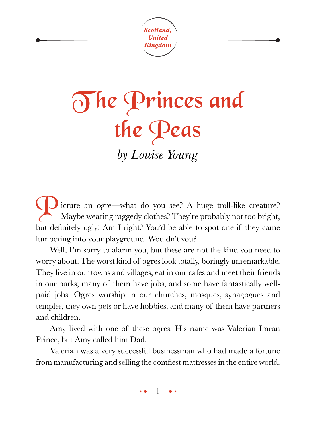

## The Princes and the Peas *by Louise Young*

icture an ogre—what do you see? A huge troll-like creature? Maybe wearing raggedy clothes? They're probably not too bright, but definitely ugly! Am I right? You'd be able to spot one if they came lumbering into your playground. Wouldn't you?

Well, I'm sorry to alarm you, but these are not the kind you need to worry about. The worst kind of ogres look totally, boringly unremarkable. They live in our towns and villages, eat in our cafes and meet their friends in our parks; many of them have jobs, and some have fantastically wellpaid jobs. Ogres worship in our churches, mosques, synagogues and temples, they own pets or have hobbies, and many of them have partners and children.

Amy lived with one of these ogres. His name was Valerian Imran Prince, but Amy called him Dad.

Valerian was a very successful businessman who had made a fortune from manufacturing and selling the comfiest mattresses in the entire world.

1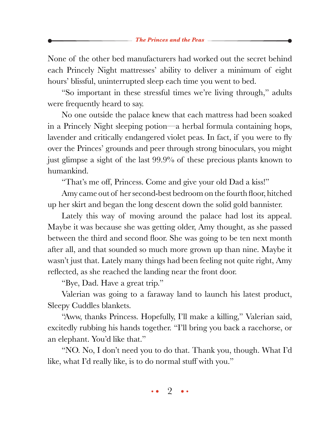None of the other bed manufacturers had worked out the secret behind each Princely Night mattresses' ability to deliver a minimum of eight hours' blissful, uninterrupted sleep each time you went to bed.

"So important in these stressful times we're living through," adults were frequently heard to say.

No one outside the palace knew that each mattress had been soaked in a Princely Night sleeping potion—a herbal formula containing hops, lavender and critically endangered violet peas. In fact, if you were to fly over the Princes' grounds and peer through strong binoculars, you might just glimpse a sight of the last 99.9% of these precious plants known to humankind.

"That's me off, Princess. Come and give your old Dad a kiss!"

Amy came out of her second-best bedroom on the fourth floor, hitched up her skirt and began the long descent down the solid gold bannister.

Lately this way of moving around the palace had lost its appeal. Maybe it was because she was getting older, Amy thought, as she passed between the third and second floor. She was going to be ten next month after all, and that sounded so much more grown up than nine. Maybe it wasn't just that. Lately many things had been feeling not quite right, Amy reflected, as she reached the landing near the front door.

"Bye, Dad. Have a great trip."

Valerian was going to a faraway land to launch his latest product, Sleepy Cuddles blankets.

"Aww, thanks Princess. Hopefully, I'll make a killing," Valerian said, excitedly rubbing his hands together. "I'll bring you back a racehorse, or an elephant. You'd like that."

"NO. No, I don't need you to do that. Thank you, though. What I'd like, what I'd really like, is to do normal stuff with you."

 $\cdots$  2  $\cdots$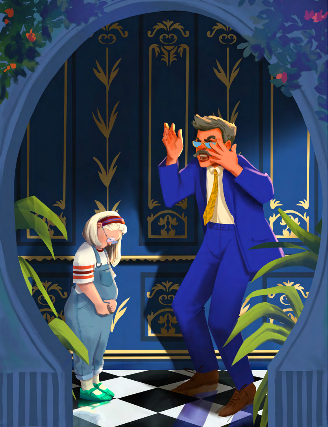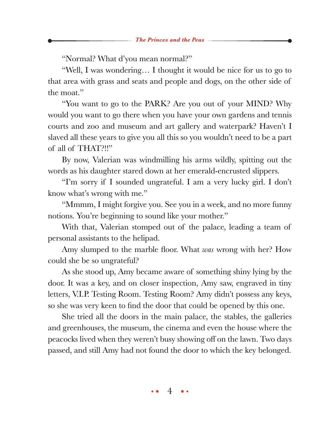"Normal? What d'you mean normal?"

"Well, I was wondering… I thought it would be nice for us to go to that area with grass and seats and people and dogs, on the other side of the moat."

"You want to go to the PARK? Are you out of your MIND? Why would you want to go there when you have your own gardens and tennis courts and zoo and museum and art gallery and waterpark? Haven't I slaved all these years to give you all this so you wouldn't need to be a part of all of THAT?!!"

By now, Valerian was windmilling his arms wildly, spitting out the words as his daughter stared down at her emerald-encrusted slippers.

"I'm sorry if I sounded ungrateful. I am a very lucky girl. I don't know what's wrong with me."

"Mmmm, I might forgive you. See you in a week, and no more funny notions. You're beginning to sound like your mother."

With that, Valerian stomped out of the palace, leading a team of personal assistants to the helipad.

Amy slumped to the marble floor. What *was* wrong with her? How could she be so ungrateful?

As she stood up, Amy became aware of something shiny lying by the door. It was a key, and on closer inspection, Amy saw, engraved in tiny letters, V.I.P. Testing Room. Testing Room? Amy didn't possess any keys, so she was very keen to find the door that could be opened by this one.

She tried all the doors in the main palace, the stables, the galleries and greenhouses, the museum, the cinema and even the house where the peacocks lived when they weren't busy showing off on the lawn. Two days passed, and still Amy had not found the door to which the key belonged.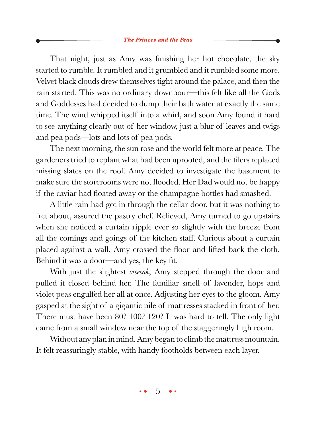That night, just as Amy was finishing her hot chocolate, the sky started to rumble. It rumbled and it grumbled and it rumbled some more. Velvet black clouds drew themselves tight around the palace, and then the rain started. This was no ordinary downpour—this felt like all the Gods and Goddesses had decided to dump their bath water at exactly the same time. The wind whipped itself into a whirl, and soon Amy found it hard to see anything clearly out of her window, just a blur of leaves and twigs and pea pods—lots and lots of pea pods.

The next morning, the sun rose and the world felt more at peace. The gardeners tried to replant what had been uprooted, and the tilers replaced missing slates on the roof. Amy decided to investigate the basement to make sure the storerooms were not flooded. Her Dad would not be happy if the caviar had floated away or the champagne bottles had smashed.

A little rain had got in through the cellar door, but it was nothing to fret about, assured the pastry chef. Relieved, Amy turned to go upstairs when she noticed a curtain ripple ever so slightly with the breeze from all the comings and goings of the kitchen staff. Curious about a curtain placed against a wall, Amy crossed the floor and lifted back the cloth. Behind it was a door—and yes, the key fit.

With just the slightest *creeeak*, Amy stepped through the door and pulled it closed behind her. The familiar smell of lavender, hops and violet peas engulfed her all at once. Adjusting her eyes to the gloom, Amy gasped at the sight of a gigantic pile of mattresses stacked in front of her. There must have been 80? 100? 120? It was hard to tell. The only light came from a small window near the top of the staggeringly high room.

Without any plan in mind, Amy began to climb the mattress mountain. It felt reassuringly stable, with handy footholds between each layer.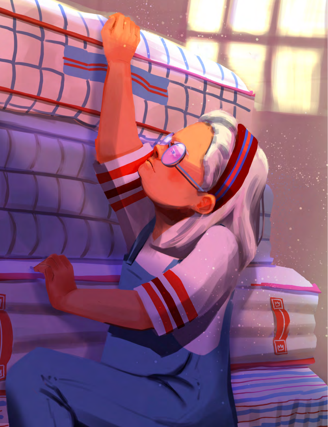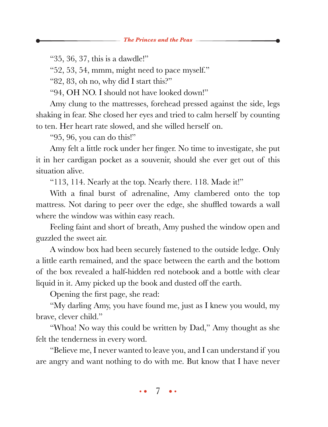"35, 36, 37, this is a dawdle!"

"52, 53, 54, mmm, might need to pace myself."

"82, 83, oh no, why did I start this?"

"94, OH NO. I should not have looked down!"

Amy clung to the mattresses, forehead pressed against the side, legs shaking in fear. She closed her eyes and tried to calm herself by counting to ten. Her heart rate slowed, and she willed herself on.

"95, 96, you can do this!"

Amy felt a little rock under her finger. No time to investigate, she put it in her cardigan pocket as a souvenir, should she ever get out of this situation alive.

"113, 114. Nearly at the top. Nearly there. 118. Made it!"

With a final burst of adrenaline, Amy clambered onto the top mattress. Not daring to peer over the edge, she shuffled towards a wall where the window was within easy reach.

Feeling faint and short of breath, Amy pushed the window open and guzzled the sweet air.

A window box had been securely fastened to the outside ledge. Only a little earth remained, and the space between the earth and the bottom of the box revealed a half-hidden red notebook and a bottle with clear liquid in it. Amy picked up the book and dusted off the earth.

Opening the first page, she read:

"My darling Amy, you have found me, just as I knew you would, my brave, clever child."

"Whoa! No way this could be written by Dad," Amy thought as she felt the tenderness in every word.

"Believe me, I never wanted to leave you, and I can understand if you are angry and want nothing to do with me. But know that I have never